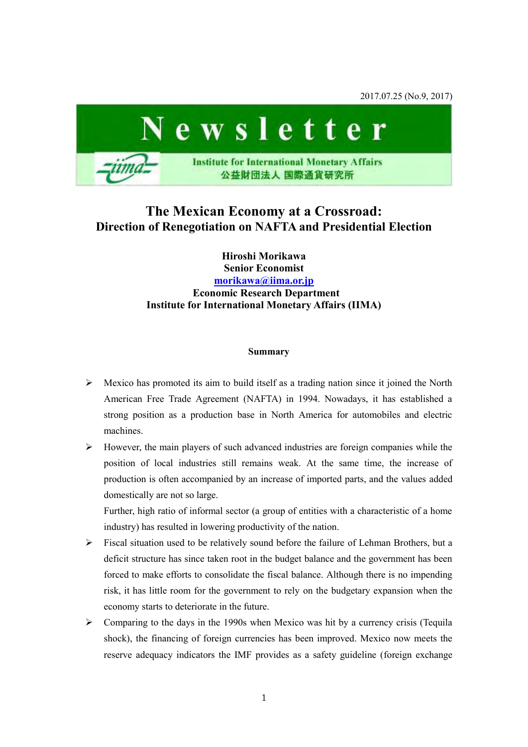2017.07.25 (No.9, 2017)



# **The Mexican Economy at a Crossroad: Direction of Renegotiation on NAFTA and Presidential Election**

**Hiroshi Morikawa Senior Economist [morikawa@iima.or.jp](mailto:morikawa@iima.or.jp)  Economic Research Department Institute for International Monetary Affairs (IIMA)** 

#### **Summary**

- $\triangleright$  Mexico has promoted its aim to build itself as a trading nation since it joined the North American Free Trade Agreement (NAFTA) in 1994. Nowadays, it has established a strong position as a production base in North America for automobiles and electric machines.
- $\triangleright$  However, the main players of such advanced industries are foreign companies while the position of local industries still remains weak. At the same time, the increase of production is often accompanied by an increase of imported parts, and the values added domestically are not so large.

Further, high ratio of informal sector (a group of entities with a characteristic of a home industry) has resulted in lowering productivity of the nation.

- $\triangleright$  Fiscal situation used to be relatively sound before the failure of Lehman Brothers, but a deficit structure has since taken root in the budget balance and the government has been forced to make efforts to consolidate the fiscal balance. Although there is no impending risk, it has little room for the government to rely on the budgetary expansion when the economy starts to deteriorate in the future.
- $\triangleright$  Comparing to the days in the 1990s when Mexico was hit by a currency crisis (Tequila shock), the financing of foreign currencies has been improved. Mexico now meets the reserve adequacy indicators the IMF provides as a safety guideline (foreign exchange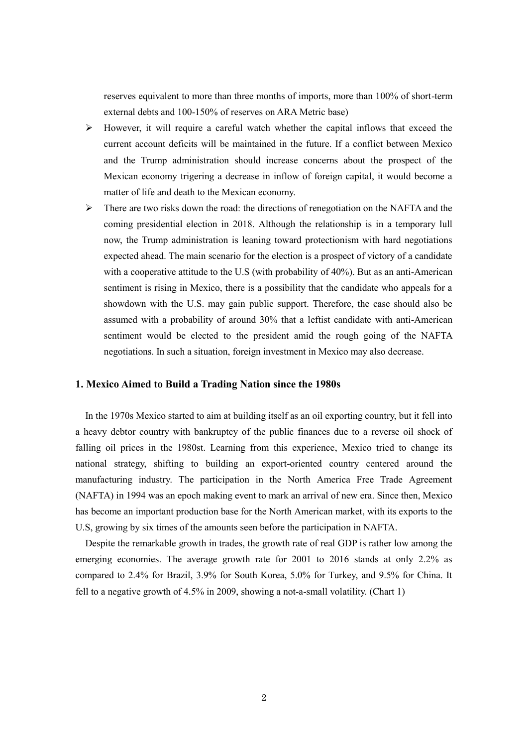reserves equivalent to more than three months of imports, more than 100% of short-term external debts and 100-150% of reserves on ARA Metric base)

- $\triangleright$  However, it will require a careful watch whether the capital inflows that exceed the current account deficits will be maintained in the future. If a conflict between Mexico and the Trump administration should increase concerns about the prospect of the Mexican economy trigering a decrease in inflow of foreign capital, it would become a matter of life and death to the Mexican economy.
- $\triangleright$  There are two risks down the road: the directions of renegotiation on the NAFTA and the coming presidential election in 2018. Although the relationship is in a temporary lull now, the Trump administration is leaning toward protectionism with hard negotiations expected ahead. The main scenario for the election is a prospect of victory of a candidate with a cooperative attitude to the U.S (with probability of 40%). But as an anti-American sentiment is rising in Mexico, there is a possibility that the candidate who appeals for a showdown with the U.S. may gain public support. Therefore, the case should also be assumed with a probability of around 30% that a leftist candidate with anti-American sentiment would be elected to the president amid the rough going of the NAFTA negotiations. In such a situation, foreign investment in Mexico may also decrease.

## **1. Mexico Aimed to Build a Trading Nation since the 1980s**

In the 1970s Mexico started to aim at building itself as an oil exporting country, but it fell into a heavy debtor country with bankruptcy of the public finances due to a reverse oil shock of falling oil prices in the 1980st. Learning from this experience, Mexico tried to change its national strategy, shifting to building an export-oriented country centered around the manufacturing industry. The participation in the North America Free Trade Agreement (NAFTA) in 1994 was an epoch making event to mark an arrival of new era. Since then, Mexico has become an important production base for the North American market, with its exports to the U.S, growing by six times of the amounts seen before the participation in NAFTA.

Despite the remarkable growth in trades, the growth rate of real GDP is rather low among the emerging economies. The average growth rate for 2001 to 2016 stands at only 2.2% as compared to 2.4% for Brazil, 3.9% for South Korea, 5.0% for Turkey, and 9.5% for China. It fell to a negative growth of 4.5% in 2009, showing a not-a-small volatility. (Chart 1)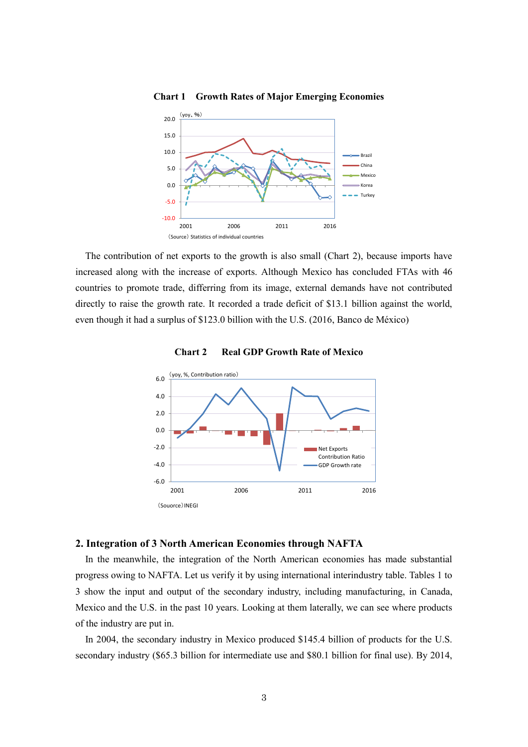

**Chart 1 Growth Rates of Major Emerging Economies** 

The contribution of net exports to the growth is also small (Chart 2), because imports have increased along with the increase of exports. Although Mexico has concluded FTAs with 46 countries to promote trade, differring from its image, external demands have not contributed directly to raise the growth rate. It recorded a trade deficit of \$13.1 billion against the world, even though it had a surplus of \$123.0 billion with the U.S. (2016, Banco de México)





## **2. Integration of 3 North American Economies through NAFTA**

In the meanwhile, the integration of the North American economies has made substantial progress owing to NAFTA. Let us verify it by using international interindustry table. Tables 1 to 3 show the input and output of the secondary industry, including manufacturing, in Canada, Mexico and the U.S. in the past 10 years. Looking at them laterally, we can see where products of the industry are put in.

In 2004, the secondary industry in Mexico produced \$145.4 billion of products for the U.S. secondary industry (\$65.3 billion for intermediate use and \$80.1 billion for final use). By 2014,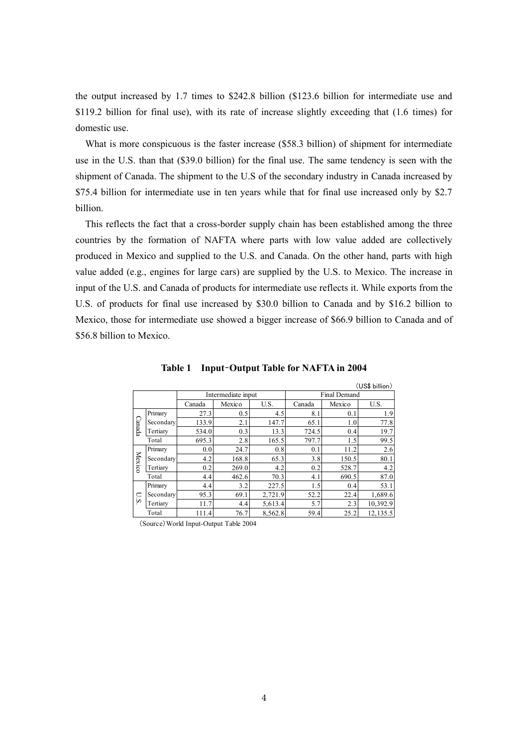the output increased by 1.7 times to \$242.8 billion (\$123.6 billion for intermediate use and \$119.2 billion for final use), with its rate of increase slightly exceeding that (1.6 times) for domestic use.

What is more conspicuous is the faster increase (\$58.3 billion) of shipment for intermediate use in the U.S. than that (\$39.0 billion) for the final use. The same tendency is seen with the shipment of Canada. The shipment to the U.S of the secondary industry in Canada increased by \$75.4 billion for intermediate use in ten years while that for final use increased only by \$2.7 billion.

This reflects the fact that a cross-border supply chain has been established among the three countries by the formation of NAFTA where parts with low value added are collectively produced in Mexico and supplied to the U.S. and Canada. On the other hand, parts with high value added (e.g., engines for large cars) are supplied by the U.S. to Mexico. The increase in input of the U.S. and Canada of products for intermediate use reflects it. While exports from the U.S. of products for final use increased by \$30.0 billion to Canada and by \$16.2 billion to Mexico, those for intermediate use showed a bigger increase of \$66.9 billion to Canada and of \$56.8 billion to Mexico.

|        |           |        | Intermediate input |         | (US\$ billion)<br><b>Final Demand</b> |        |          |  |
|--------|-----------|--------|--------------------|---------|---------------------------------------|--------|----------|--|
|        |           | Canada | Mexico             | U.S.    | Canada                                | Mexico | U.S.     |  |
|        | Primary   | 27.3   | 0.5                | 4.5     | 8.1                                   | 0.1    | 1.9      |  |
| Canada | Secondary | 133.9  | 2.1                | 147.7   | 65.1                                  | 1.0    | 77.8     |  |
|        | Tertiary  | 534.0  | 0.3                | 13.3    | 724.5                                 | 0.4    | 19.7     |  |
|        | Total     | 695.3  | 2.8                | 165.5   | 797.7                                 | 1.5    | 99.5     |  |
|        | Primary   | 0.0    | 24.7               | 0.8     | 0.1                                   | 11.2   | 2.6      |  |
|        | Secondary | 4.2    | 168.8              | 65.3    | 3.8                                   | 150.5  | 80.1     |  |
| Mexico | Tertiary  | 0.2    | 269.0              | 4.2     | 0.2                                   | 528.7  | 4.2      |  |
|        | Total     | 4.4    | 462.6              | 70.3    | 4.1                                   | 690.5  | 87.0     |  |
|        | Primary   | 4.4    | 3.2                | 227.5   | 1.5                                   | 0.4    | 53.1     |  |
| U.S.   | Secondary | 95.3   | 69.1               | 2,721.9 | 52.2                                  | 22.4   | 1,689.6  |  |
|        | Tertiary  | 11.7   | 4.4                | 5,613.4 | 5.7                                   | 2.3    | 10,392.9 |  |
|        | Total     | 111.4  | 76.7               | 8,562.8 | 59.4                                  | 25.2   | 12,135.5 |  |

**Table 1 Input**–**Output Table for NAFTA in 2004**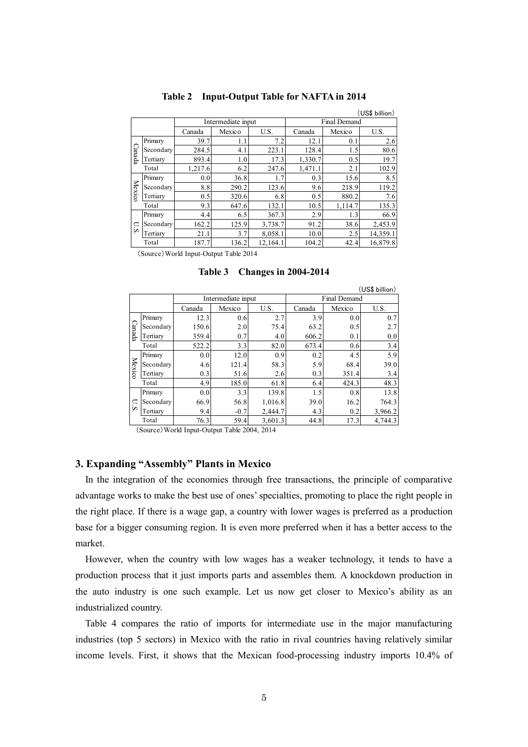|        |           |         |                    |          |              |         | (US\$ billion) |  |
|--------|-----------|---------|--------------------|----------|--------------|---------|----------------|--|
|        |           |         | Intermediate input |          | Final Demand |         |                |  |
|        |           | Canada  | Mexico             | U.S.     | Canada       | Mexico  | U.S.           |  |
| Canade | Primary   | 39.7    | 1.1                | 7.2      | 12.1         | 0.1     | 2.6            |  |
|        | Secondary | 284.5   | 4.1                | 223.1    | 128.4        | 1.5     | 80.6           |  |
|        | Tertiary  | 893.4   | 1.0                | 17.3     | 1,330.7      | 0.5     | 19.7           |  |
|        | Total     | 1,217.6 | 6.2                | 247.6    | 1,471.1      | 2.1     | 102.9          |  |
|        | Primary   | 0.0     | 36.8               | 1.7      | 0.3          | 15.6    | 8.5            |  |
| Mexico | Secondary | 8.8     | 290.2              | 123.6    | 9.6          | 218.9   | 119.2          |  |
|        | Tertiary  | 0.5     | 320.6              | 6.8      | 0.5          | 880.2   | 7.6            |  |
|        | Total     | 9.3     | 647.6              | 132.1    | 10.5         | 1,114.7 | 135.3          |  |
|        | Primary   | 4.4     | 6.5                | 367.3    | 2.9          | 1.3     | 66.9           |  |
| U.S    | Secondary | 162.2   | 125.9              | 3,738.7  | 91.2         | 38.6    | 2,453.9        |  |
|        | Tertiary  | 21.1    | 3.7                | 8,058.1  | 10.0         | 2.5     | 14,359.1       |  |
|        | Total     | 187.7   | 136.2              | 12,164.1 | 104.2        | 42.4    | 16,879.8       |  |

#### **Table 2 Input-Output Table for NAFTA in 2014**

(Source) World Input-Output Table 2014

|        |           |        |                    |         |                     |        | (US\$ billion) |  |  |
|--------|-----------|--------|--------------------|---------|---------------------|--------|----------------|--|--|
|        |           |        | Intermediate input |         | <b>Final Demand</b> |        |                |  |  |
|        |           | Canada | Mexico             | U.S.    | Canada              | Mexico | U.S.           |  |  |
|        | Primary   | 12.3   | 0.6                | 2.7     | 3.9                 | 0.0    | 0.7            |  |  |
| Canada | Secondary | 150.6  | 2.0                | 75.4    | 63.2                | 0.5    | 2.7            |  |  |
|        | Tertiary  | 359.4  | 0.7                | 4.0     | 606.2               | 0.1    | 0.0            |  |  |
|        | Total     | 522.2  | 3.3                | 82.0    | 673.4               | 0.6    | 3.4            |  |  |
|        | Primary   | 0.0    | 12.0               | 0.9     | 0.2                 | 4.5    | 5.9            |  |  |
|        | Secondary | 4.6    | 121.4              | 58.3    | 5.9                 | 68.4   | 39.0           |  |  |
| Mexico | Tertiary  | 0.3    | 51.6               | 2.6     | 0.3                 | 351.4  | 3.4            |  |  |
|        | Total     | 4.9    | 185.0              | 61.8    | 6.4                 | 424.3  | 48.3           |  |  |
|        | Primary   | 0.0    | 3.3                | 139.8   | 1.5                 | 0.8    | 13.8           |  |  |
| US     | Secondary | 66.9   | 56.8               | 1,016.8 | 39.0                | 16.2   | 764.3          |  |  |
|        | Tertiary  | 9.4    | $-0.7$             | 2,444.7 | 4.3                 | 0.2    | 3,966.2        |  |  |
|        | Total     | 76.3   | 59.4               | 3,601.3 | 44.8                | 17.3   | 4,744.3        |  |  |

**Table 3 Changes in 2004-2014** 

 $(Source)$  World Input-Output Table 2004, 2014

# **3. Expanding "Assembly" Plants in Mexico**

In the integration of the economies through free transactions, the principle of comparative advantage works to make the best use of ones' specialties, promoting to place the right people in the right place. If there is a wage gap, a country with lower wages is preferred as a production base for a bigger consuming region. It is even more preferred when it has a better access to the market.

However, when the country with low wages has a weaker technology, it tends to have a production process that it just imports parts and assembles them. A knockdown production in the auto industry is one such example. Let us now get closer to Mexico's ability as an industrialized country.

Table 4 compares the ratio of imports for intermediate use in the major manufacturing industries (top 5 sectors) in Mexico with the ratio in rival countries having relatively similar income levels. First, it shows that the Mexican food-processing industry imports 10.4% of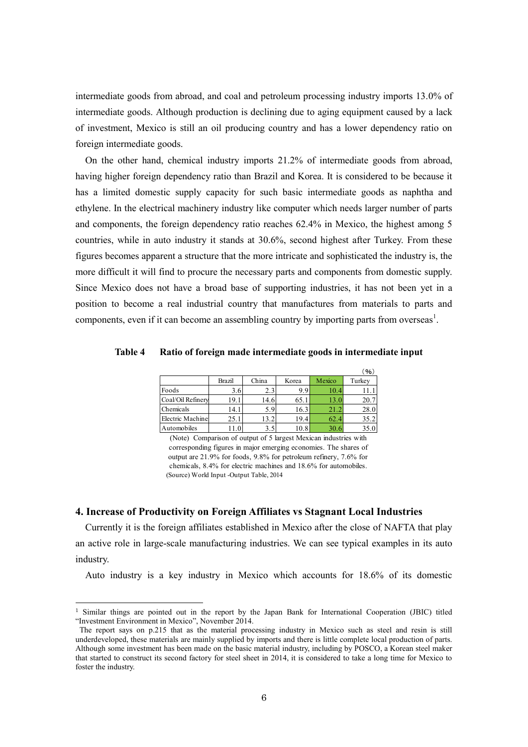intermediate goods from abroad, and coal and petroleum processing industry imports 13.0% of intermediate goods. Although production is declining due to aging equipment caused by a lack of investment, Mexico is still an oil producing country and has a lower dependency ratio on foreign intermediate goods.

On the other hand, chemical industry imports 21.2% of intermediate goods from abroad, having higher foreign dependency ratio than Brazil and Korea. It is considered to be because it has a limited domestic supply capacity for such basic intermediate goods as naphtha and ethylene. In the electrical machinery industry like computer which needs larger number of parts and components, the foreign dependency ratio reaches 62.4% in Mexico, the highest among 5 countries, while in auto industry it stands at 30.6%, second highest after Turkey. From these figures becomes apparent a structure that the more intricate and sophisticated the industry is, the more difficult it will find to procure the necessary parts and components from domestic supply. Since Mexico does not have a broad base of supporting industries, it has not been yet in a position to become a real industrial country that manufactures from materials to parts and components, even if it can become an assembling country by importing parts from overseas<sup>1</sup>.

**Table 4 Ratio of foreign made intermediate goods in intermediate input** 

|                                                                     |        |       |       |        | (96)   |  |  |  |  |
|---------------------------------------------------------------------|--------|-------|-------|--------|--------|--|--|--|--|
|                                                                     | Brazil | China | Korea | Mexico | Turkey |  |  |  |  |
| Foods                                                               | 3.6    | 2.3   | 9.9   | 10.4   | 11.1   |  |  |  |  |
| Coal/Oil Refinery                                                   | 19.1   | 14.6  | 65.1  | 13.0   | 20.7   |  |  |  |  |
| Chemicals                                                           | 14.1   | 5.9   | 16.3  | 21.2   | 28.0   |  |  |  |  |
| Electric Machiner                                                   | 25.1   | 13.2  | 19.4  | 62.4   | 35.2   |  |  |  |  |
| Automobiles                                                         | 11.0   | 3.5   | 10.8  | 30.6   | 35.0   |  |  |  |  |
| Comparison of output of 5 largest Mexican industries with<br>(Note) |        |       |       |        |        |  |  |  |  |

 (Source) World Input -Output Table, 2014 corresponding figures in major emerging economies. The shares of output are 21.9% for foods, 9.8% for petroleum refinery, 7.6% for chemicals, 8.4% for electric machines and 18.6% for automobiles.

## **4. Increase of Productivity on Foreign Affiliates vs Stagnant Local Industries**

-

Currently it is the foreign affiliates established in Mexico after the close of NAFTA that play an active role in large-scale manufacturing industries. We can see typical examples in its auto industry.

Auto industry is a key industry in Mexico which accounts for 18.6% of its domestic

<sup>&</sup>lt;sup>1</sup> Similar things are pointed out in the report by the Japan Bank for International Cooperation (JBIC) titled "Investment Environment in Mexico", November 2014.

The report says on p.215 that as the material processing industry in Mexico such as steel and resin is still underdeveloped, these materials are mainly supplied by imports and there is little complete local production of parts. Although some investment has been made on the basic material industry, including by POSCO, a Korean steel maker that started to construct its second factory for steel sheet in 2014, it is considered to take a long time for Mexico to foster the industry.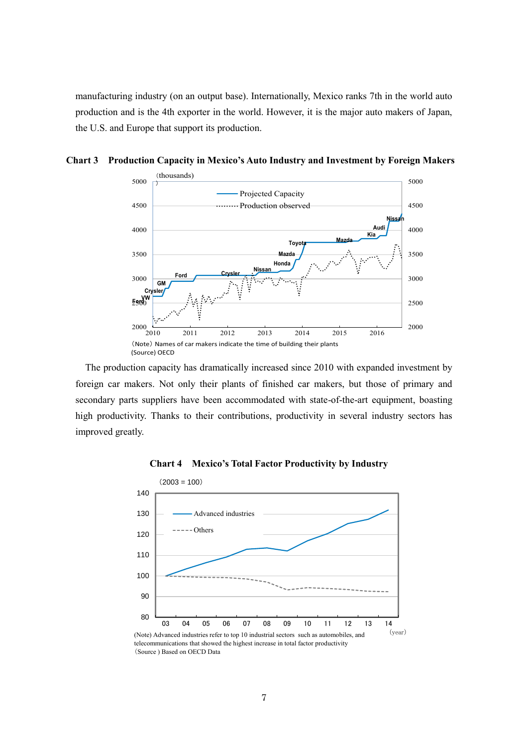manufacturing industry (on an output base). Internationally, Mexico ranks 7th in the world auto production and is the 4th exporter in the world. However, it is the major auto makers of Japan, the U.S. and Europe that support its production.



**Chart 3 Production Capacity in Mexico's Auto Industry and Investment by Foreign Makers** 

The production capacity has dramatically increased since 2010 with expanded investment by foreign car makers. Not only their plants of finished car makers, but those of primary and secondary parts suppliers have been accommodated with state-of-the-art equipment, boasting high productivity. Thanks to their contributions, productivity in several industry sectors has improved greatly.



### **Chart 4 Mexico's Total Factor Productivity by Industry**

telecommunications that showed the highest increase in total factor productivity (Source ) Based on OECD Data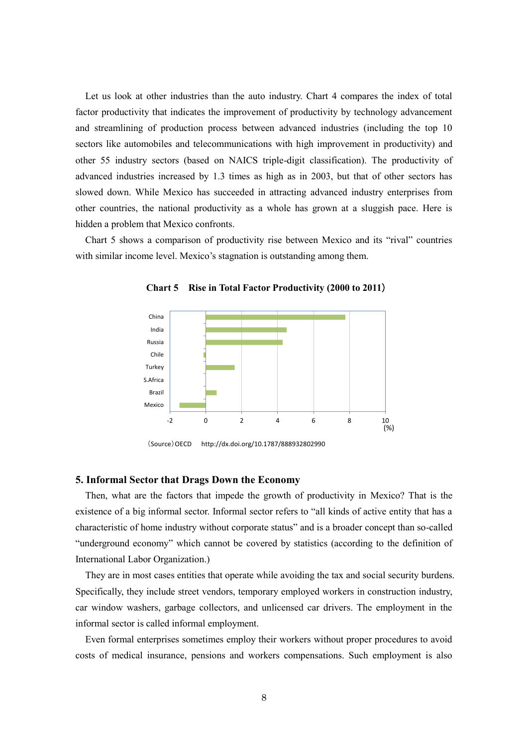Let us look at other industries than the auto industry. Chart 4 compares the index of total factor productivity that indicates the improvement of productivity by technology advancement and streamlining of production process between advanced industries (including the top 10 sectors like automobiles and telecommunications with high improvement in productivity) and other 55 industry sectors (based on NAICS triple-digit classification). The productivity of advanced industries increased by 1.3 times as high as in 2003, but that of other sectors has slowed down. While Mexico has succeeded in attracting advanced industry enterprises from other countries, the national productivity as a whole has grown at a sluggish pace. Here is hidden a problem that Mexico confronts.

Chart 5 shows a comparison of productivity rise between Mexico and its "rival" countries with similar income level. Mexico's stagnation is outstanding among them.



**Chart 5 Rise in Total Factor Productivity (2000 to 2011**)

(Source)OECD http://dx.doi.org/10.1787/888932802990

## **5. Informal Sector that Drags Down the Economy**

Then, what are the factors that impede the growth of productivity in Mexico? That is the existence of a big informal sector. Informal sector refers to "all kinds of active entity that has a characteristic of home industry without corporate status" and is a broader concept than so-called "underground economy" which cannot be covered by statistics (according to the definition of International Labor Organization.)

They are in most cases entities that operate while avoiding the tax and social security burdens. Specifically, they include street vendors, temporary employed workers in construction industry, car window washers, garbage collectors, and unlicensed car drivers. The employment in the informal sector is called informal employment.

Even formal enterprises sometimes employ their workers without proper procedures to avoid costs of medical insurance, pensions and workers compensations. Such employment is also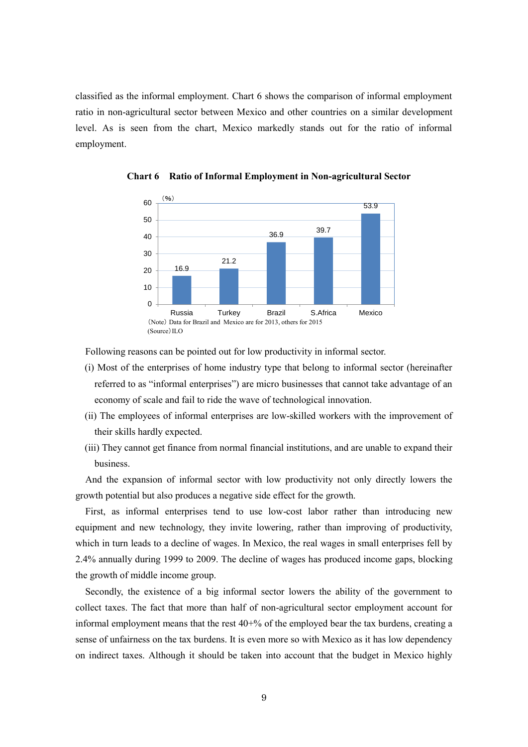classified as the informal employment. Chart 6 shows the comparison of informal employment ratio in non-agricultural sector between Mexico and other countries on a similar development level. As is seen from the chart, Mexico markedly stands out for the ratio of informal employment.



**Chart 6 Ratio of Informal Employment in Non-agricultural Sector** 

Following reasons can be pointed out for low productivity in informal sector.

- (i) Most of the enterprises of home industry type that belong to informal sector (hereinafter referred to as "informal enterprises") are micro businesses that cannot take advantage of an economy of scale and fail to ride the wave of technological innovation.
- (ii) The employees of informal enterprises are low-skilled workers with the improvement of their skills hardly expected.
- (iii) They cannot get finance from normal financial institutions, and are unable to expand their business.

And the expansion of informal sector with low productivity not only directly lowers the growth potential but also produces a negative side effect for the growth.

First, as informal enterprises tend to use low-cost labor rather than introducing new equipment and new technology, they invite lowering, rather than improving of productivity, which in turn leads to a decline of wages. In Mexico, the real wages in small enterprises fell by 2.4% annually during 1999 to 2009. The decline of wages has produced income gaps, blocking the growth of middle income group.

Secondly, the existence of a big informal sector lowers the ability of the government to collect taxes. The fact that more than half of non-agricultural sector employment account for informal employment means that the rest 40+% of the employed bear the tax burdens, creating a sense of unfairness on the tax burdens. It is even more so with Mexico as it has low dependency on indirect taxes. Although it should be taken into account that the budget in Mexico highly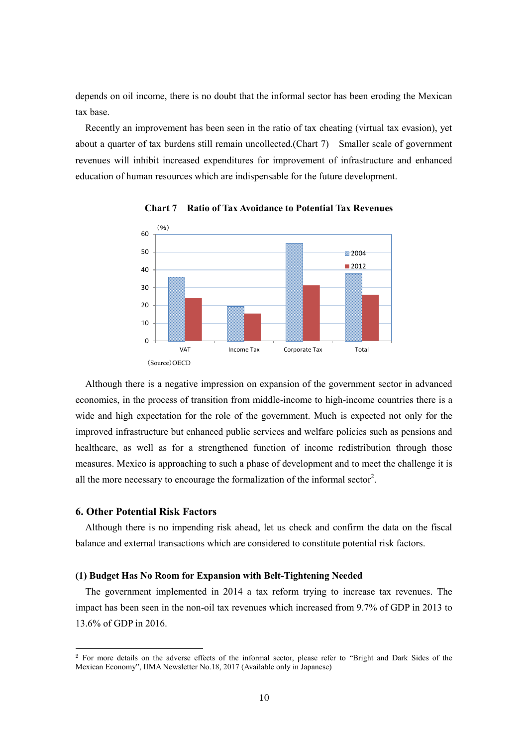depends on oil income, there is no doubt that the informal sector has been eroding the Mexican tax base.

Recently an improvement has been seen in the ratio of tax cheating (virtual tax evasion), yet about a quarter of tax burdens still remain uncollected.(Chart 7) Smaller scale of government revenues will inhibit increased expenditures for improvement of infrastructure and enhanced education of human resources which are indispensable for the future development.



**Chart 7 Ratio of Tax Avoidance to Potential Tax Revenues** 

Although there is a negative impression on expansion of the government sector in advanced economies, in the process of transition from middle-income to high-income countries there is a wide and high expectation for the role of the government. Much is expected not only for the improved infrastructure but enhanced public services and welfare policies such as pensions and healthcare, as well as for a strengthened function of income redistribution through those measures. Mexico is approaching to such a phase of development and to meet the challenge it is all the more necessary to encourage the formalization of the informal sector<sup>2</sup>.

### **6. Other Potential Risk Factors**

-

Although there is no impending risk ahead, let us check and confirm the data on the fiscal balance and external transactions which are considered to constitute potential risk factors.

#### **(1) Budget Has No Room for Expansion with Belt-Tightening Needed**

The government implemented in 2014 a tax reform trying to increase tax revenues. The impact has been seen in the non-oil tax revenues which increased from 9.7% of GDP in 2013 to 13.6% of GDP in 2016.

<sup>2</sup> For more details on the adverse effects of the informal sector, please refer to "Bright and Dark Sides of the Mexican Economy", IIMA Newsletter No.18, 2017 (Available only in Japanese)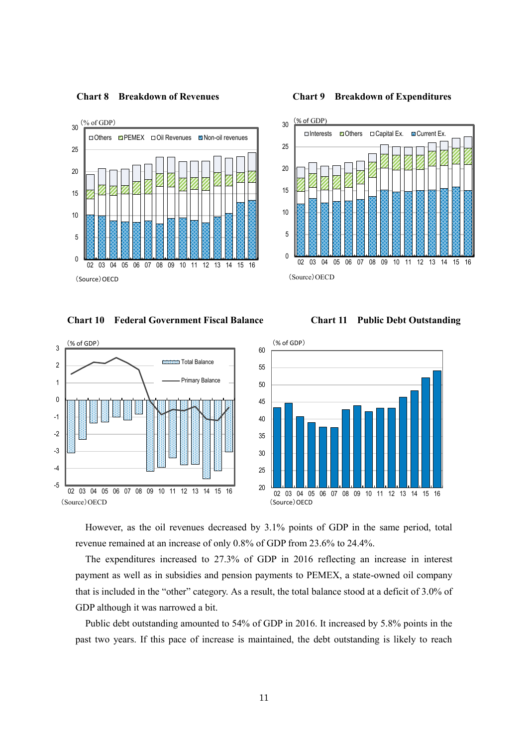

**Chart 8 Breakdown of Revenues Chart 9 Breakdown of Expenditures** 



**Chart 10 Federal Government Fiscal Balance Chart 11 Public Debt Outstanding** 





However, as the oil revenues decreased by 3.1% points of GDP in the same period, total revenue remained at an increase of only 0.8% of GDP from 23.6% to 24.4%.

The expenditures increased to 27.3% of GDP in 2016 reflecting an increase in interest payment as well as in subsidies and pension payments to PEMEX, a state-owned oil company that is included in the "other" category. As a result, the total balance stood at a deficit of 3.0% of GDP although it was narrowed a bit.

Public debt outstanding amounted to 54% of GDP in 2016. It increased by 5.8% points in the past two years. If this pace of increase is maintained, the debt outstanding is likely to reach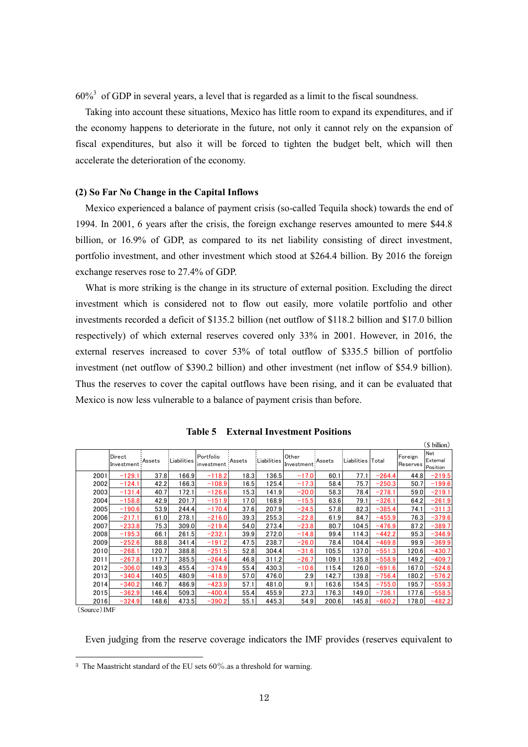$60\%$ <sup>3</sup> of GDP in several years, a level that is regarded as a limit to the fiscal soundness.

Taking into account these situations, Mexico has little room to expand its expenditures, and if the economy happens to deteriorate in the future, not only it cannot rely on the expansion of fiscal expenditures, but also it will be forced to tighten the budget belt, which will then accelerate the deterioration of the economy.

# **(2) So Far No Change in the Capital Inflows**

Mexico experienced a balance of payment crisis (so-called Tequila shock) towards the end of 1994. In 2001, 6 years after the crisis, the foreign exchange reserves amounted to mere \$44.8 billion, or 16.9% of GDP, as compared to its net liability consisting of direct investment, portfolio investment, and other investment which stood at \$264.4 billion. By 2016 the foreign exchange reserves rose to 27.4% of GDP.

What is more striking is the change in its structure of external position. Excluding the direct investment which is considered not to flow out easily, more volatile portfolio and other investments recorded a deficit of \$135.2 billion (net outflow of \$118.2 billion and \$17.0 billion respectively) of which external reserves covered only 33% in 2001. However, in 2016, the external reserves increased to cover 53% of total outflow of \$335.5 billion of portfolio investment (net outflow of \$390.2 billion) and other investment (net inflow of \$54.9 billion). Thus the reserves to cover the capital outflows have been rising, and it can be evaluated that Mexico is now less vulnerable to a balance of payment crisis than before.

|              |                      |        |             | Table 5                 |        |             | <b>External Investment Positions</b> |        |                   |          |                     |                                    |
|--------------|----------------------|--------|-------------|-------------------------|--------|-------------|--------------------------------------|--------|-------------------|----------|---------------------|------------------------------------|
|              |                      |        |             |                         |        |             |                                      |        |                   |          |                     | (\$ billion)                       |
|              | Direct<br>Investment | Assets | Liabilities | Portfolio<br>investment | Assets | Liabilities | Other<br>Investment                  | Assets | Liabilities Total |          | Foreign<br>Reserves | <b>Net</b><br>External<br>Position |
| 2001         | $-129.1$             | 37.8   | 166.9       | $-118.2$                | 18.3   | 136.5       | $-17.0$                              | 60.1   | 77.1              | $-264.4$ | 44.8                | $-219.5$                           |
| 2002         | $-124.1$             | 42.2   | 166.3       | $-108.9$                | 16.5   | 125.4       | $-17.3$                              | 58.4   | 75.7              | $-250.3$ | 50.7                | $-199.6$                           |
| 2003         | $-131.4$             | 40.7   | 172.1       | $-126.6$                | 15.3   | 141.9       | $-20.0$                              | 58.3   | 78.4              | $-278.1$ | 59.0                | $-219.1$                           |
| 2004         | $-158.8$             | 42.9   | 201.7       | $-151.9$                | 17.0   | 168.9       | $-15.5$                              | 63.6   | 79.1              | $-326.1$ | 64.2                | $-261.9$                           |
| 2005         | $-190.6$             | 53.9   | 244.4       | $-170.4$                | 37.6   | 207.9       | $-24.5$                              | 57.8   | 82.3              | $-385.4$ | 74.1                | $-311.3$                           |
| 2006         | $-217.1$             | 61.0   | 278.1       | $-216.0$                | 39.3   | 255.3       | $-22.8$                              | 61.9   | 84.7              | $-455.9$ | 76.3                | $-379.6$                           |
| 2007         | $-233.8$             | 75.3   | 309.0       | $-219.4$                | 54.0   | 273.4       | $-23.8$                              | 80.7   | 104.5             | $-476.9$ | 87.2                | $-389.7$                           |
| 2008         | $-195.3$             | 66.1   | 261.5       | $-232.1$                | 39.9   | 272.0       | $-14.8$                              | 99.4   | 114.3             | $-442.2$ | 95.3                | $-346.9$                           |
| 2009         | $-252.6$             | 88.8   | 341.4       | $-191.2$                | 47.5   | 238.7       | $-26.0$                              | 78.4   | 104.4             | $-469.8$ | 99.9                | $-369.9$                           |
| 2010         | $-268.1$             | 120.7  | 388.8       | $-251.5$                | 52.8   | 304.4       | $-31.6$                              | 105.5  | 137.0             | $-551.3$ | 120.6               | $-430.7$                           |
| 2011         | $-267.8$             | 117.7  | 385.5       | $-264.4$                | 46.8   | 311.2       | $-26.7$                              | 109.1  | 135.8             | $-558.9$ | 149.2               | $-409.7$                           |
| 2012         | $-306.0$             | 149.3  | 455.4       | $-374.9$                | 55.4   | 430.3       | $-10.6$                              | 115.4  | 126.0             | $-691.6$ | 167.0               | $-524.6$                           |
| 2013         | $-340.4$             | 140.5  | 480.9       | $-418.9$                | 57.0   | 476.0       | 2.9                                  | 142.7  | 139.8             | $-756.4$ | 180.2               | $-576.2$                           |
| 2014         | $-340.2$             | 146.7  | 486.9       | $-423.9$                | 57.1   | 481.0       | 9.1                                  | 163.6  | 154.5             | $-755.0$ | 195.7               | $-559.3$                           |
| 2015         | $-362.9$             | 146.4  | 509.3       | $-400.4$                | 55.4   | 455.9       | 27.3                                 | 176.3  | 149.0             | $-736.1$ | 177.6               | $-558.5$                           |
| 2016         | $-324.9$             | 148.6  | 473.5       | $-390.2$                | 55.1   | 445.3       | 54.9                                 | 200.6  | 145.8             | $-660.2$ | 178.0               | $-482.2$                           |
| (Source) IMF |                      |        |             |                         |        |             |                                      |        |                   |          |                     |                                    |

**Table 5 External Investment Positions**

(Source)IMF

-

Even judging from the reserve coverage indicators the IMF provides (reserves equivalent to

<sup>&</sup>lt;sup>3</sup> The Maastricht standard of the EU sets  $60\%$  as a threshold for warning.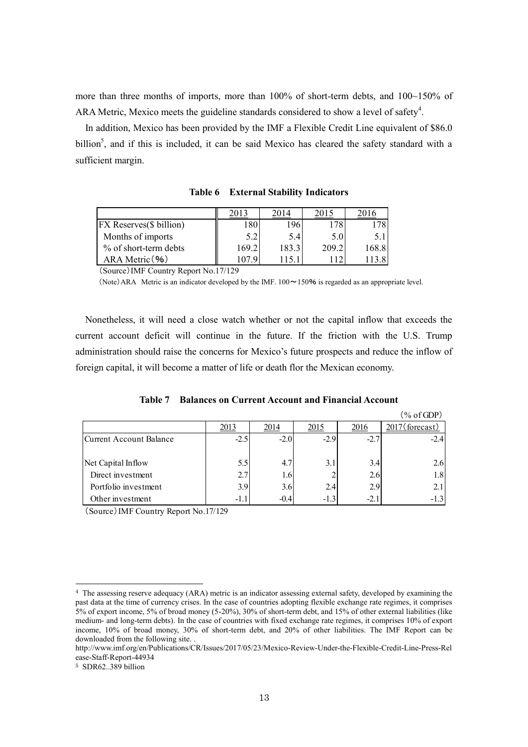more than three months of imports, more than 100% of short-term debts, and 100~150% of ARA Metric, Mexico meets the guideline standards considered to show a level of safety $4$ .

In addition, Mexico has been provided by the IMF a Flexible Credit Line equivalent of \$86.0 billion<sup>5</sup>, and if this is included, it can be said Mexico has cleared the safety standard with a sufficient margin.

| Table 6                               |       | <b>External Stability Indicators</b> |       |       |  |  |  |
|---------------------------------------|-------|--------------------------------------|-------|-------|--|--|--|
|                                       | 2013  | 2014                                 | 2015  | 2016  |  |  |  |
| FX Reserves(\$ billion)               | 180   | 196                                  | 178   | 178   |  |  |  |
| Months of imports                     | 5.2   | 5.4                                  | 5.0   | 5.1   |  |  |  |
| % of short-term debts                 | 169.2 | 183.3                                | 209.2 | 168.8 |  |  |  |
| ARA Metric (%)                        | 1079  | 1151                                 |       |       |  |  |  |
| (Source) IMF Country Report No.17/129 |       |                                      |       |       |  |  |  |

**Table 6 External Stability Indicators** 

(Source)IMF Country Report No.17/129

(Note)ARA Metric is an indicator developed by the IMF.  $100 \sim 150\%$  is regarded as an appropriate level.

Nonetheless, it will need a close watch whether or not the capital inflow that exceeds the current account deficit will continue in the future. If the friction with the U.S. Trump administration should raise the concerns for Mexico's future prospects and reduce the inflow of foreign capital, it will become a matter of life or death flor the Mexican economy.

|                                       |             |             |        |        | $(\% \text{ of GDP})$ |
|---------------------------------------|-------------|-------------|--------|--------|-----------------------|
|                                       | <u>2013</u> | <u>2014</u> | 2015   | 2016   | 2017 (forecast)       |
| Current Account Balance               | $-2.5$      | $-2.0$      | $-2.9$ | $-2.7$ | $-2.4$                |
|                                       |             |             |        |        |                       |
| Net Capital Inflow                    | 5.5         | 4.7         | 3.1    | 3.4    | 2.6                   |
| Direct investment                     | 2.7         | 1.6         |        | 2.6    | 1.8                   |
| Portfolio investment                  | 3.9         | 3.6         | 2.4    | 2.9    | 2.1                   |
| Other investment                      | $-1.1$      | $-0.4$      | $-1.3$ | $-2.1$ | $-1.3$                |
| (Source) IMF Country Renort No 17/129 |             |             |        |        |                       |

**Table 7 Balances on Current Account and Financial Account**

(Source)IMF Country Report No.17/129

-

<sup>4</sup> The assessing reserve adequacy (ARA) metric is an indicator assessing external safety, developed by examining the past data at the time of currency crises. In the case of countries adopting flexible exchange rate regimes, it comprises 5% of export income, 5% of broad money (5-20%), 30% of short-term debt, and 15% of other external liabilities (like medium- and long-term debts). In the case of countries with fixed exchange rate regimes, it comprises 10% of export income, 10% of broad money, 30% of short-term debt, and 20% of other liabilities. The IMF Report can be downloaded from the following site. .

http://www.imf.org/en/Publications/CR/Issues/2017/05/23/Mexico-Review-Under-the-Flexible-Credit-Line-Press-Rel ease-Staff-Report-44934

<sup>5</sup> SDR62..389 billion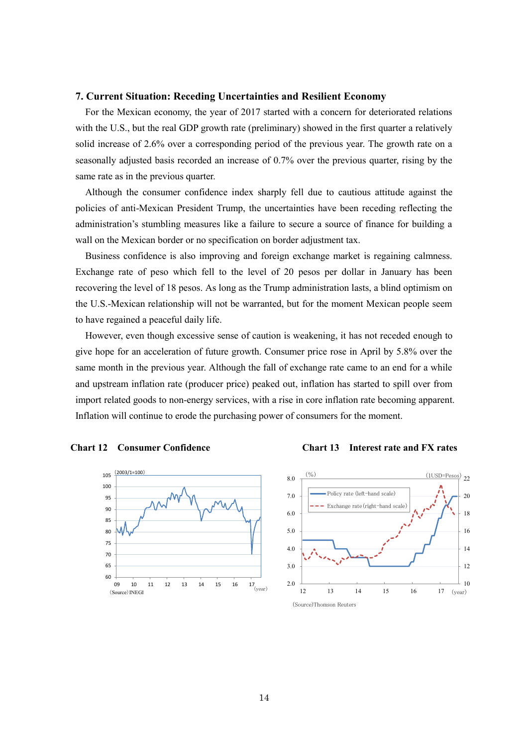## **7. Current Situation: Receding Uncertainties and Resilient Economy**

For the Mexican economy, the year of 2017 started with a concern for deteriorated relations with the U.S., but the real GDP growth rate (preliminary) showed in the first quarter a relatively solid increase of 2.6% over a corresponding period of the previous year. The growth rate on a seasonally adjusted basis recorded an increase of 0.7% over the previous quarter, rising by the same rate as in the previous quarter.

Although the consumer confidence index sharply fell due to cautious attitude against the policies of anti-Mexican President Trump, the uncertainties have been receding reflecting the administration's stumbling measures like a failure to secure a source of finance for building a wall on the Mexican border or no specification on border adjustment tax.

Business confidence is also improving and foreign exchange market is regaining calmness. Exchange rate of peso which fell to the level of 20 pesos per dollar in January has been recovering the level of 18 pesos. As long as the Trump administration lasts, a blind optimism on the U.S.-Mexican relationship will not be warranted, but for the moment Mexican people seem to have regained a peaceful daily life.

However, even though excessive sense of caution is weakening, it has not receded enough to give hope for an acceleration of future growth. Consumer price rose in April by 5.8% over the same month in the previous year. Although the fall of exchange rate came to an end for a while and upstream inflation rate (producer price) peaked out, inflation has started to spill over from import related goods to non-energy services, with a rise in core inflation rate becoming apparent. Inflation will continue to erode the purchasing power of consumers for the moment.







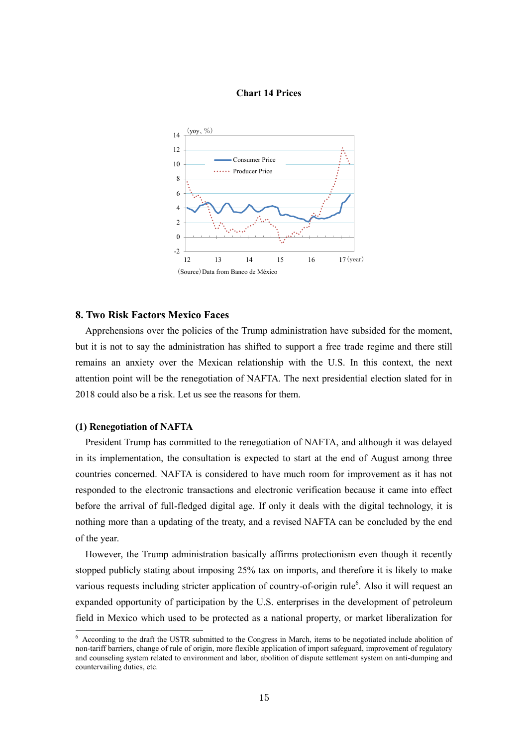#### **Chart 14 Prices**



# **8. Two Risk Factors Mexico Faces**

Apprehensions over the policies of the Trump administration have subsided for the moment, but it is not to say the administration has shifted to support a free trade regime and there still remains an anxiety over the Mexican relationship with the U.S. In this context, the next attention point will be the renegotiation of NAFTA. The next presidential election slated for in 2018 could also be a risk. Let us see the reasons for them.

## **(1) Renegotiation of NAFTA**

President Trump has committed to the renegotiation of NAFTA, and although it was delayed in its implementation, the consultation is expected to start at the end of August among three countries concerned. NAFTA is considered to have much room for improvement as it has not responded to the electronic transactions and electronic verification because it came into effect before the arrival of full-fledged digital age. If only it deals with the digital technology, it is nothing more than a updating of the treaty, and a revised NAFTA can be concluded by the end of the year.

However, the Trump administration basically affirms protectionism even though it recently stopped publicly stating about imposing 25% tax on imports, and therefore it is likely to make various requests including stricter application of country-of-origin rule<sup>6</sup>. Also it will request an expanded opportunity of participation by the U.S. enterprises in the development of petroleum field in Mexico which used to be protected as a national property, or market liberalization for

<sup>&</sup>lt;sup>6</sup> According to the draft the USTR submitted to the Congress in March, items to be negotiated include abolition of non-tariff barriers, change of rule of origin, more flexible application of import safeguard, improvement of regulatory and counseling system related to environment and labor, abolition of dispute settlement system on anti-dumping and countervailing duties, etc.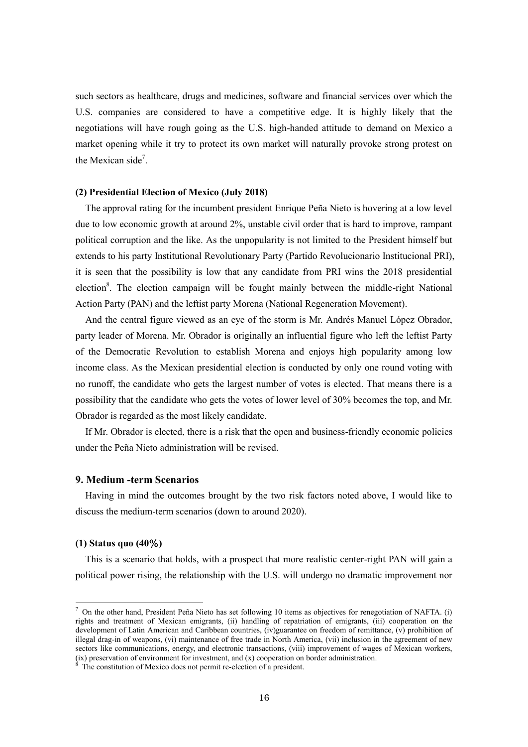such sectors as healthcare, drugs and medicines, software and financial services over which the U.S. companies are considered to have a competitive edge. It is highly likely that the negotiations will have rough going as the U.S. high-handed attitude to demand on Mexico a market opening while it try to protect its own market will naturally provoke strong protest on the Mexican side<sup>7</sup>.

### **(2) Presidential Election of Mexico (July 2018)**

The approval rating for the incumbent president Enrique Peña Nieto is hovering at a low level due to low economic growth at around 2%, unstable civil order that is hard to improve, rampant political corruption and the like. As the unpopularity is not limited to the President himself but extends to his party Institutional Revolutionary Party (Partido Revolucionario Institucional PRI), it is seen that the possibility is low that any candidate from PRI wins the 2018 presidential election<sup>8</sup>. The election campaign will be fought mainly between the middle-right National Action Party (PAN) and the leftist party Morena (National Regeneration Movement).

And the central figure viewed as an eye of the storm is Mr. Andrés Manuel López Obrador, party leader of Morena. Mr. Obrador is originally an influential figure who left the leftist Party of the Democratic Revolution to establish Morena and enjoys high popularity among low income class. As the Mexican presidential election is conducted by only one round voting with no runoff, the candidate who gets the largest number of votes is elected. That means there is a possibility that the candidate who gets the votes of lower level of 30% becomes the top, and Mr. Obrador is regarded as the most likely candidate.

If Mr. Obrador is elected, there is a risk that the open and business-friendly economic policies under the Peña Nieto administration will be revised.

## **9. Medium -term Scenarios**

Having in mind the outcomes brought by the two risk factors noted above, I would like to discuss the medium-term scenarios (down to around 2020).

## **(1) Status quo (40**%**)**

-

This is a scenario that holds, with a prospect that more realistic center-right PAN will gain a political power rising, the relationship with the U.S. will undergo no dramatic improvement nor

 $^7$  On the other hand, President Peña Nieto has set following 10 items as objectives for renegotiation of NAFTA. (i) rights and treatment of Mexican emigrants, (ii) handling of repatriation of emigrants, (iii) cooperation on the development of Latin American and Caribbean countries, (iv)guarantee on freedom of remittance, (v) prohibition of illegal drag-in of weapons, (vi) maintenance of free trade in North America, (vii) inclusion in the agreement of new sectors like communications, energy, and electronic transactions, (viii) improvement of wages of Mexican workers, (ix) preservation of environment for investment, and  $(x)$  cooperation on border administration.

The constitution of Mexico does not permit re-election of a president.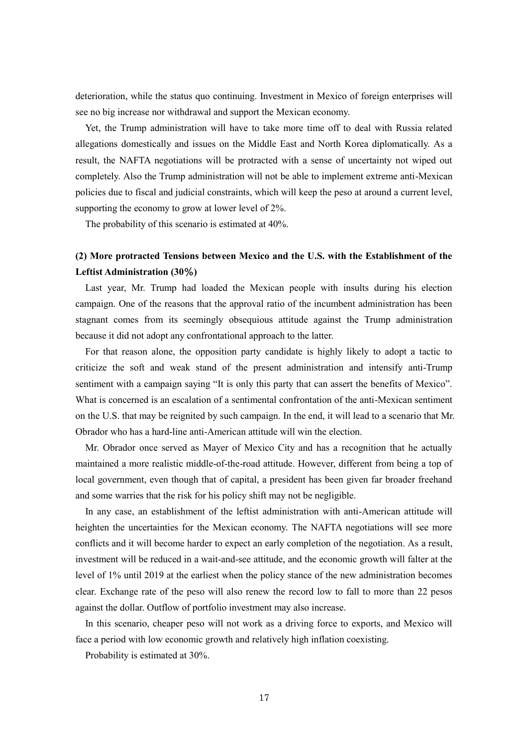deterioration, while the status quo continuing. Investment in Mexico of foreign enterprises will see no big increase nor withdrawal and support the Mexican economy.

Yet, the Trump administration will have to take more time off to deal with Russia related allegations domestically and issues on the Middle East and North Korea diplomatically. As a result, the NAFTA negotiations will be protracted with a sense of uncertainty not wiped out completely. Also the Trump administration will not be able to implement extreme anti-Mexican policies due to fiscal and judicial constraints, which will keep the peso at around a current level, supporting the economy to grow at lower level of 2%.

The probability of this scenario is estimated at 40%.

# **(2) More protracted Tensions between Mexico and the U.S. with the Establishment of the Leftist Administration (30**%**)**

Last year, Mr. Trump had loaded the Mexican people with insults during his election campaign. One of the reasons that the approval ratio of the incumbent administration has been stagnant comes from its seemingly obsequious attitude against the Trump administration because it did not adopt any confrontational approach to the latter.

For that reason alone, the opposition party candidate is highly likely to adopt a tactic to criticize the soft and weak stand of the present administration and intensify anti-Trump sentiment with a campaign saying "It is only this party that can assert the benefits of Mexico". What is concerned is an escalation of a sentimental confrontation of the anti-Mexican sentiment on the U.S. that may be reignited by such campaign. In the end, it will lead to a scenario that Mr. Obrador who has a hard-line anti-American attitude will win the election.

Mr. Obrador once served as Mayer of Mexico City and has a recognition that he actually maintained a more realistic middle-of-the-road attitude. However, different from being a top of local government, even though that of capital, a president has been given far broader freehand and some warries that the risk for his policy shift may not be negligible.

In any case, an establishment of the leftist administration with anti-American attitude will heighten the uncertainties for the Mexican economy. The NAFTA negotiations will see more conflicts and it will become harder to expect an early completion of the negotiation. As a result, investment will be reduced in a wait-and-see attitude, and the economic growth will falter at the level of 1% until 2019 at the earliest when the policy stance of the new administration becomes clear. Exchange rate of the peso will also renew the record low to fall to more than 22 pesos against the dollar. Outflow of portfolio investment may also increase.

In this scenario, cheaper peso will not work as a driving force to exports, and Mexico will face a period with low economic growth and relatively high inflation coexisting.

Probability is estimated at 30%.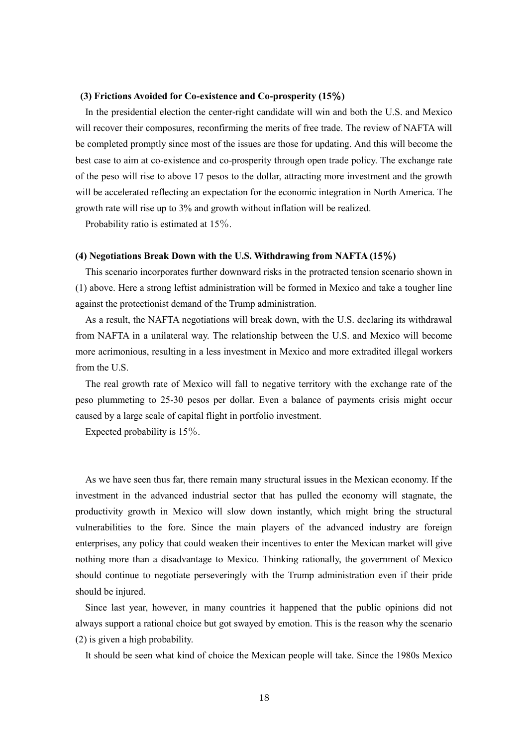#### **(3) Frictions Avoided for Co-existence and Co-prosperity (15**%**)**

In the presidential election the center-right candidate will win and both the U.S. and Mexico will recover their composures, reconfirming the merits of free trade. The review of NAFTA will be completed promptly since most of the issues are those for updating. And this will become the best case to aim at co-existence and co-prosperity through open trade policy. The exchange rate of the peso will rise to above 17 pesos to the dollar, attracting more investment and the growth will be accelerated reflecting an expectation for the economic integration in North America. The growth rate will rise up to 3% and growth without inflation will be realized.

Probability ratio is estimated at 15%.

#### **(4) Negotiations Break Down with the U.S. Withdrawing from NAFTA (15**%**)**

This scenario incorporates further downward risks in the protracted tension scenario shown in (1) above. Here a strong leftist administration will be formed in Mexico and take a tougher line against the protectionist demand of the Trump administration.

As a result, the NAFTA negotiations will break down, with the U.S. declaring its withdrawal from NAFTA in a unilateral way. The relationship between the U.S. and Mexico will become more acrimonious, resulting in a less investment in Mexico and more extradited illegal workers from the U.S.

The real growth rate of Mexico will fall to negative territory with the exchange rate of the peso plummeting to 25-30 pesos per dollar. Even a balance of payments crisis might occur caused by a large scale of capital flight in portfolio investment.

Expected probability is 15%.

As we have seen thus far, there remain many structural issues in the Mexican economy. If the investment in the advanced industrial sector that has pulled the economy will stagnate, the productivity growth in Mexico will slow down instantly, which might bring the structural vulnerabilities to the fore. Since the main players of the advanced industry are foreign enterprises, any policy that could weaken their incentives to enter the Mexican market will give nothing more than a disadvantage to Mexico. Thinking rationally, the government of Mexico should continue to negotiate perseveringly with the Trump administration even if their pride should be injured.

Since last year, however, in many countries it happened that the public opinions did not always support a rational choice but got swayed by emotion. This is the reason why the scenario (2) is given a high probability.

It should be seen what kind of choice the Mexican people will take. Since the 1980s Mexico